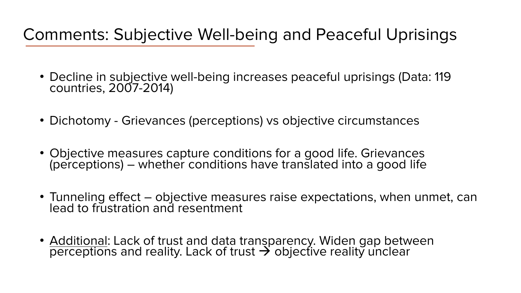## Comments: Subjective Well-being and Peaceful Uprisings

- Decline in subjective well-being increases peaceful uprisings (Data: 119 countries, 2007-2014)
- Dichotomy Grievances (perceptions) vs objective circumstances
- Objective measures capture conditions for a good life. Grievances (perceptions) – whether conditions have translated into a good life
- Tunneling effect objective measures raise expectations, when unmet, can lead to frustration and resentment
- Additional: Lack of trust and data transparency. Widen gap between perceptions and reality. Lack of trust  $\rightarrow$  objective reality unclear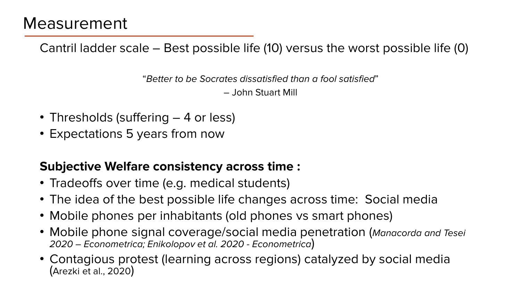Cantril ladder scale – Best possible life (10) versus the worst possible life (0)

"Better to be Socrates dissatisfied than a fool satisfied" – John Stuart Mill

- Thresholds (suffering 4 or less)
- Expectations 5 years from now

## **Subjective Welfare consistency across time :**

- Tradeoffs over time (e.g. medical students)
- The idea of the best possible life changes across time: Social media
- Mobile phones per inhabitants (old phones vs smart phones)
- Mobile phone signal coverage/social media penetration (Manacorda and Tesei 2020 – Econometrica; Enikolopov et al. 2020 - Econometrica)
- Contagious protest (learning across regions) catalyzed by social media (Arezki et al., 2020)